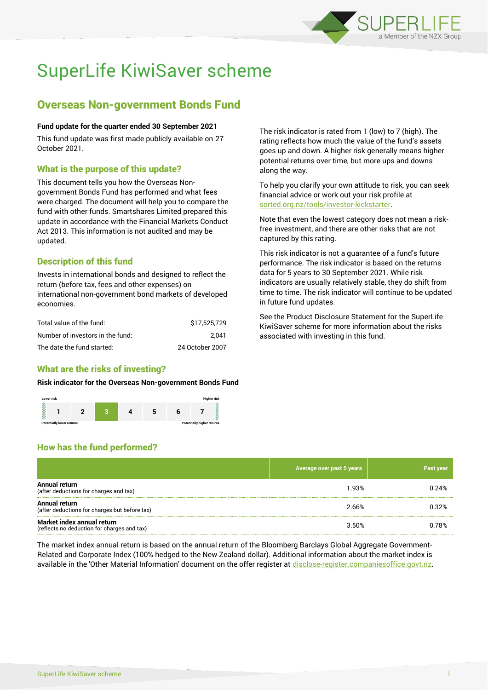

# SuperLife KiwiSaver scheme

# Overseas Non-government Bonds Fund

## **Fund update for the quarter ended 30 September 2021**

This fund update was first made publicly available on 27 October 2021.

# What is the purpose of this update?

This document tells you how the Overseas Nongovernment Bonds Fund has performed and what fees were charged. The document will help you to compare the fund with other funds. Smartshares Limited prepared this update in accordance with the Financial Markets Conduct Act 2013. This information is not audited and may be updated.

# Description of this fund

Invests in international bonds and designed to reflect the return (before tax, fees and other expenses) on international non-government bond markets of developed economies.

| Total value of the fund:         | \$17.525.729    |
|----------------------------------|-----------------|
| Number of investors in the fund: | 2.041           |
| The date the fund started:       | 24 October 2007 |

# What are the risks of investing?

#### **Risk indicator for the Overseas Non-government Bonds Fund**



The risk indicator is rated from 1 (low) to 7 (high). The rating reflects how much the value of the fund's assets goes up and down. A higher risk generally means higher potential returns over time, but more ups and downs along the way.

To help you clarify your own attitude to risk, you can seek financial advice or work out your risk profile at [sorted.org.nz/tools/investor-kickstarter.](http://www.sorted.org.nz/tools/investor-kickstarter)

Note that even the lowest category does not mean a riskfree investment, and there are other risks that are not captured by this rating.

This risk indicator is not a guarantee of a fund's future performance. The risk indicator is based on the returns data for 5 years to 30 September 2021. While risk indicators are usually relatively stable, they do shift from time to time. The risk indicator will continue to be updated in future fund updates.

See the Product Disclosure Statement for the SuperLife KiwiSaver scheme for more information about the risks associated with investing in this fund.

# How has the fund performed?

|                                                                           | Average over past 5 years | Past year |
|---------------------------------------------------------------------------|---------------------------|-----------|
| Annual return<br>(after deductions for charges and tax)                   | 1.93%                     | 0.24%     |
| Annual return<br>(after deductions for charges but before tax)            | 2.66%                     | 0.32%     |
| Market index annual return<br>(reflects no deduction for charges and tax) | 3.50%                     | 0.78%     |

The market index annual return is based on the annual return of the Bloomberg Barclays Global Aggregate Government-Related and Corporate Index (100% hedged to the New Zealand dollar). Additional information about the market index is available in the 'Other Material Information' document on the offer register at [disclose-register.companiesoffice.govt.nz.](http://www.disclose-register.companiesoffice.govt.nz/)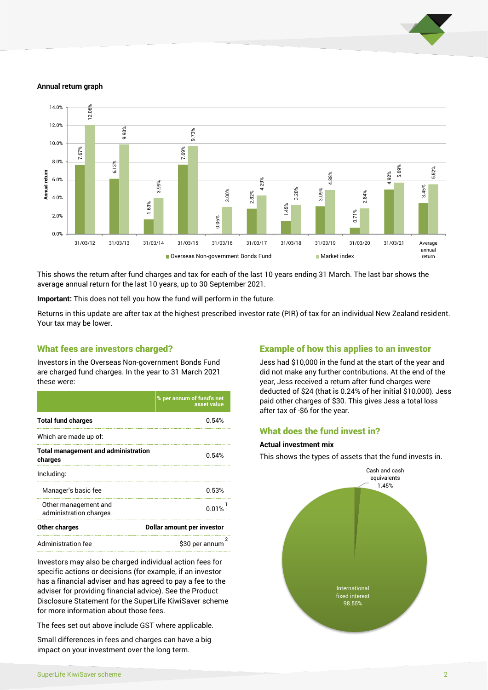

#### **Annual return graph**



This shows the return after fund charges and tax for each of the last 10 years ending 31 March. The last bar shows the average annual return for the last 10 years, up to 30 September 2021.

**Important:** This does not tell you how the fund will perform in the future.

Returns in this update are after tax at the highest prescribed investor rate (PIR) of tax for an individual New Zealand resident. Your tax may be lower.

## What fees are investors charged?

Investors in the Overseas Non-government Bonds Fund are charged fund charges. In the year to 31 March 2021 these were:

|                                                       | % per annum of fund's net<br>asset value |  |
|-------------------------------------------------------|------------------------------------------|--|
| <b>Total fund charges</b>                             | 0.54%                                    |  |
| Which are made up of:                                 |                                          |  |
| <b>Total management and administration</b><br>charges | 0.54%                                    |  |
| Including:                                            |                                          |  |
| Manager's basic fee                                   | 0.53%                                    |  |
| Other management and<br>administration charges        | 0.01%                                    |  |
| Other charges                                         | Dollar amount per investor               |  |
| Administration fee                                    | \$30 per annum                           |  |

Investors may also be charged individual action fees for specific actions or decisions (for example, if an investor has a financial adviser and has agreed to pay a fee to the adviser for providing financial advice). See the Product Disclosure Statement for the SuperLife KiwiSaver scheme for more information about those fees.

The fees set out above include GST where applicable.

Small differences in fees and charges can have a big impact on your investment over the long term.

# Example of how this applies to an investor

Jess had \$10,000 in the fund at the start of the year and did not make any further contributions. At the end of the year, Jess received a return after fund charges were deducted of \$24 (that is 0.24% of her initial \$10,000). Jess paid other charges of \$30. This gives Jess a total loss after tax of -\$6 for the year.

# What does the fund invest in?

#### **Actual investment mix**

This shows the types of assets that the fund invests in.

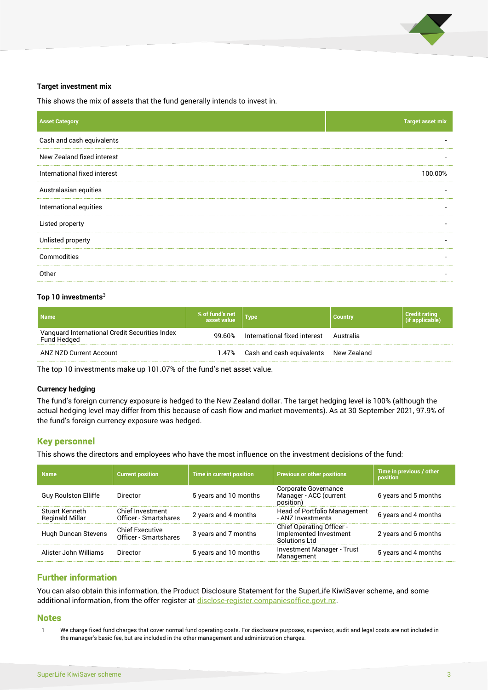

#### **Target investment mix**

This shows the mix of assets that the fund generally intends to invest in.

| <b>Target asset mix</b>  |
|--------------------------|
|                          |
|                          |
| 100.00%                  |
|                          |
|                          |
| $\overline{\phantom{a}}$ |
| $\overline{\phantom{a}}$ |
|                          |
|                          |
|                          |

#### **Top 10 investments**<sup>3</sup>

| <b>Name</b>                                                   | % of fund's net | <b>Type</b>                            | <b>Country</b> | <b>Credit rating</b><br>(if applicable) |
|---------------------------------------------------------------|-----------------|----------------------------------------|----------------|-----------------------------------------|
| Vanguard International Credit Securities Index<br>Fund Hedged | 99.60%          | International fixed interest Australia |                |                                         |
| ANZ NZD Current Account                                       | 1.47%           | Cash and cash equivalents New Zealand  |                |                                         |

The top 10 investments make up 101.07% of the fund's net asset value.

#### **Currency hedging**

The fund's foreign currency exposure is hedged to the New Zealand dollar. The target hedging level is 100% (although the actual hedging level may differ from this because of cash flow and market movements). As at 30 September 2021, 97.9% of the fund's foreign currency exposure was hedged.

## Key personnel

This shows the directors and employees who have the most influence on the investment decisions of the fund:

| <b>Name</b>                                     | <b>Current position</b>                         | <b>Time in current position</b> | <b>Previous or other positions</b>                                          | Time in previous / other<br>position |
|-------------------------------------------------|-------------------------------------------------|---------------------------------|-----------------------------------------------------------------------------|--------------------------------------|
| <b>Guy Roulston Elliffe</b>                     | Director                                        | 5 years and 10 months           | Corporate Governance<br>Manager - ACC (current<br>position)                 | 6 years and 5 months                 |
| <b>Stuart Kenneth</b><br><b>Reginald Millar</b> | Chief Investment<br>Officer - Smartshares       | 2 years and 4 months            | Head of Portfolio Management<br>- ANZ Investments                           | 6 years and 4 months                 |
| Hugh Duncan Stevens                             | <b>Chief Executive</b><br>Officer - Smartshares | 3 years and 7 months            | <b>Chief Operating Officer -</b><br>Implemented Investment<br>Solutions Ltd | 2 years and 6 months                 |
| Alister John Williams                           | Director                                        | 5 years and 10 months           | <b>Investment Manager - Trust</b><br>Management                             | 5 years and 4 months                 |

# Further information

You can also obtain this information, the Product Disclosure Statement for the SuperLife KiwiSaver scheme, and some additional information, from the offer register a[t disclose-register.companiesoffice.govt.nz.](http://www.disclose-register.companiesoffice.govt.nz/)

#### **Notes**

1 We charge fixed fund charges that cover normal fund operating costs. For disclosure purposes, supervisor, audit and legal costs are not included in the manager's basic fee, but are included in the other management and administration charges.